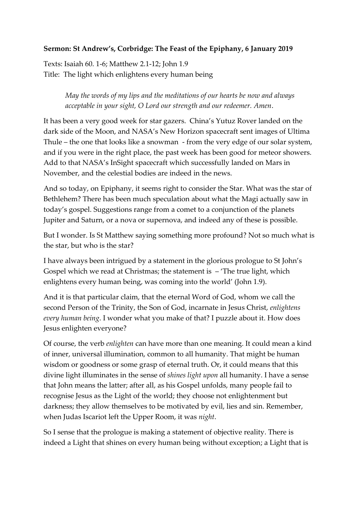## **Sermon: St Andrew's, Corbridge: The Feast of the Epiphany, 6 January 2019**

Texts: Isaiah 60. 1-6; Matthew 2.1-12; John 1.9 Title: The light which enlightens every human being

> *May the words of my lips and the meditations of our hearts be now and always acceptable in your sight, O Lord our strength and our redeemer. Amen*.

It has been a very good week for star gazers. China's Yutuz Rover landed on the dark side of the Moon, and NASA's New Horizon spacecraft sent images of Ultima Thule – the one that looks like a snowman - from the very edge of our solar system, and if you were in the right place, the past week has been good for meteor showers. Add to that NASA's InSight spacecraft which successfully landed on Mars in November, and the celestial bodies are indeed in the news.

And so today, on Epiphany, it seems right to consider the Star. What was the star of Bethlehem? There has been much speculation about what the Magi actually saw in today's gospel. Suggestions range from a comet to a conjunction of the planets Jupiter and Saturn, or a nova or supernova, and indeed any of these is possible.

But I wonder. Is St Matthew saying something more profound? Not so much what is the star, but who is the star?

I have always been intrigued by a statement in the glorious prologue to St John's Gospel which we read at Christmas; the statement is  $-$  The true light, which enlightens every human being, was coming into the world' (John 1.9).

And it is that particular claim, that the eternal Word of God, whom we call the second Person of the Trinity, the Son of God, incarnate in Jesus Christ, *enlightens every human being*. I wonder what you make of that? I puzzle about it. How does Jesus enlighten everyone?

Of course, the verb *enlighten* can have more than one meaning. It could mean a kind of inner, universal illumination, common to all humanity. That might be human wisdom or goodness or some grasp of eternal truth. Or, it could means that this divine light illuminates in the sense of *shines light upon* all humanity. I have a sense that John means the latter; after all, as his Gospel unfolds, many people fail to recognise Jesus as the Light of the world; they choose not enlightenment but darkness; they allow themselves to be motivated by evil, lies and sin. Remember, when Judas Iscariot left the Upper Room, it was *night*.

So I sense that the prologue is making a statement of objective reality. There is indeed a Light that shines on every human being without exception; a Light that is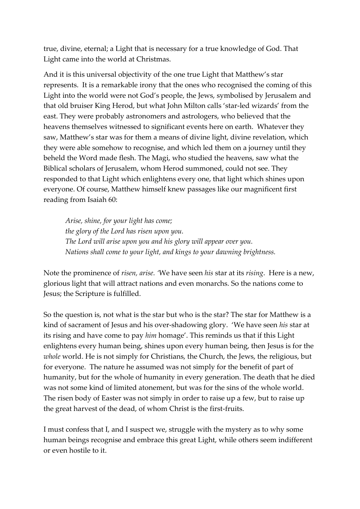true, divine, eternal; a Light that is necessary for a true knowledge of God. That Light came into the world at Christmas.

And it is this universal objectivity of the one true Light that Matthew's star represents. It is a remarkable irony that the ones who recognised the coming of this Light into the world were not God's people, the Jews, symbolised by Jerusalem and that old bruiser King Herod, but what John Milton calls 'star-led wizards' from the east. They were probably astronomers and astrologers, who believed that the heavens themselves witnessed to significant events here on earth. Whatever they saw, Matthew's star was for them a means of divine light, divine revelation, which they were able somehow to recognise, and which led them on a journey until they beheld the Word made flesh. The Magi, who studied the heavens, saw what the Biblical scholars of Jerusalem, whom Herod summoned, could not see. They responded to that Light which enlightens every one, that light which shines upon everyone. Of course, Matthew himself knew passages like our magnificent first reading from Isaiah 60:

*Arise, shine, for your light has come; the glory of the Lord has risen upon you. The Lord will arise upon you and his glory will appear over you. Nations shall come to your light, and kings to your dawning brightness.*

Note the prominence of *risen, arise. '*We have seen *his* star at its *rising*. Here is a new, glorious light that will attract nations and even monarchs. So the nations come to Jesus; the Scripture is fulfilled.

So the question is, not what is the star but who is the star? The star for Matthew is a kind of sacrament of Jesus and his over-shadowing glory. 'We have seen *his* star at its rising and have come to pay *him* homage'. This reminds us that if this Light enlightens every human being, shines upon every human being, then Jesus is for the *whole* world. He is not simply for Christians, the Church, the Jews, the religious, but for everyone. The nature he assumed was not simply for the benefit of part of humanity, but for the whole of humanity in every generation. The death that he died was not some kind of limited atonement, but was for the sins of the whole world. The risen body of Easter was not simply in order to raise up a few, but to raise up the great harvest of the dead, of whom Christ is the first-fruits.

I must confess that I, and I suspect we, struggle with the mystery as to why some human beings recognise and embrace this great Light, while others seem indifferent or even hostile to it.